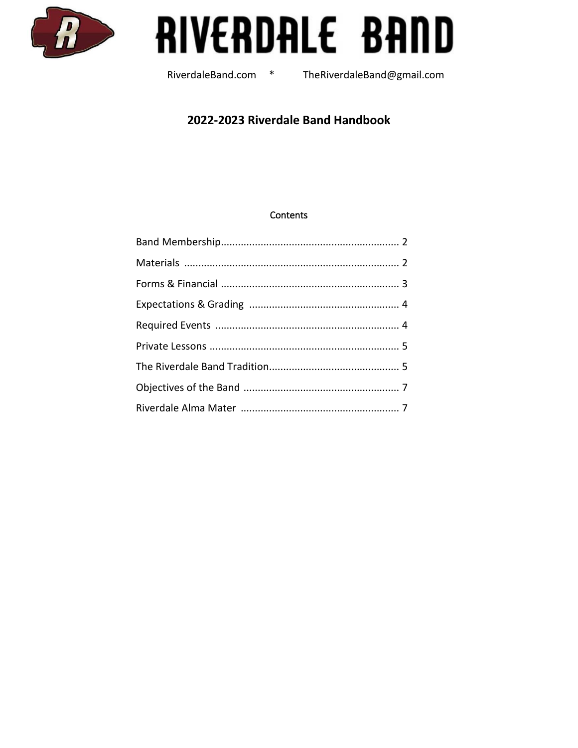

# RIVERDALE BAND

RiverdaleBand.com \*

TheRiverdaleBand@gmail.com

## 2022-2023 Riverdale Band Handbook

#### **Contents**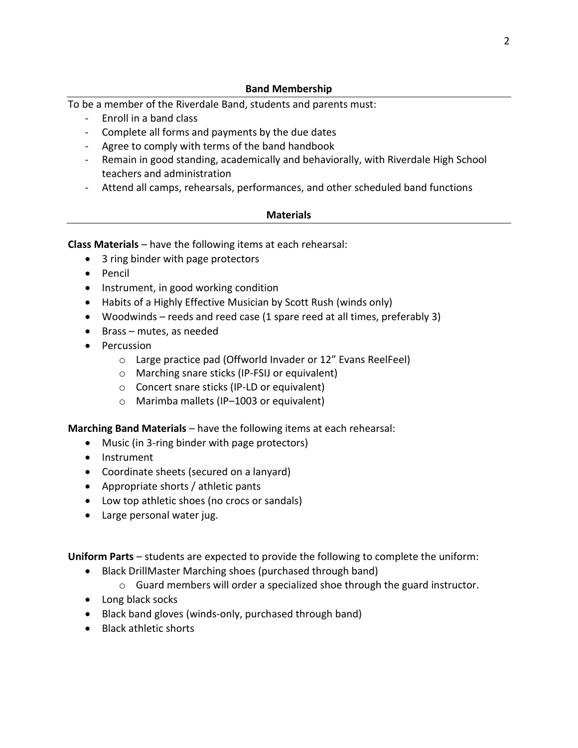#### **Band Membership**

To be a member of the Riverdale Band, students and parents must:

- Enroll in a band class
- Complete all forms and payments by the due dates
- Agree to comply with terms of the band handbook
- Remain in good standing, academically and behaviorally, with Riverdale High School teachers and administration
- Attend all camps, rehearsals, performances, and other scheduled band functions

#### **Materials**

**Class Materials** – have the following items at each rehearsal:

- 3 ring binder with page protectors
- Pencil
- Instrument, in good working condition
- Habits of a Highly Effective Musician by Scott Rush (winds only)
- Woodwinds reeds and reed case (1 spare reed at all times, preferably 3)
- Brass mutes, as needed
- Percussion
	- o Large practice pad (Offworld Invader or 12" Evans ReelFeel)
	- o Marching snare sticks (IP-FSIJ or equivalent)
	- o Concert snare sticks (IP-LD or equivalent)
	- o Marimba mallets (IP–1003 or equivalent)

**Marching Band Materials** – have the following items at each rehearsal:

- Music (in 3-ring binder with page protectors)
- Instrument
- Coordinate sheets (secured on a lanyard)
- Appropriate shorts / athletic pants
- Low top athletic shoes (no crocs or sandals)
- Large personal water jug.

**Uniform Parts** – students are expected to provide the following to complete the uniform:

- Black DrillMaster Marching shoes (purchased through band)
	- $\circ$  Guard members will order a specialized shoe through the guard instructor.
- Long black socks
- Black band gloves (winds-only, purchased through band)
- Black athletic shorts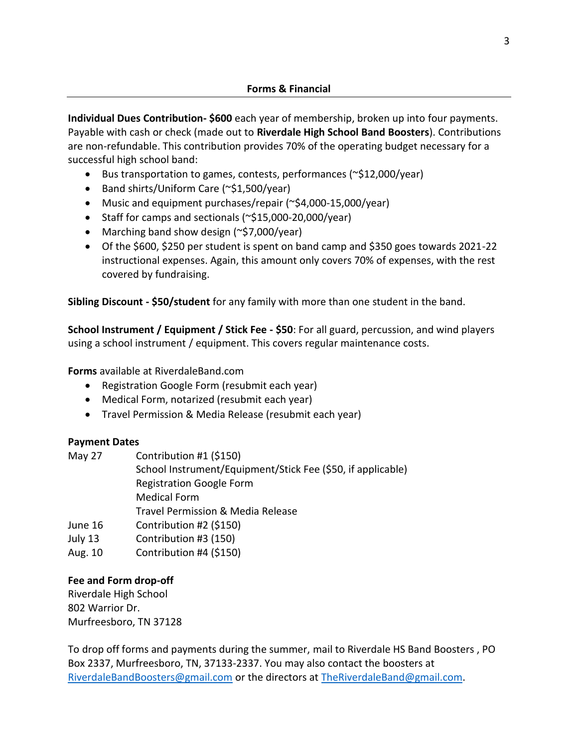**Individual Dues Contribution- \$600** each year of membership, broken up into four payments. Payable with cash or check (made out to **Riverdale High School Band Boosters**). Contributions are non-refundable. This contribution provides 70% of the operating budget necessary for a successful high school band:

- Bus transportation to games, contests, performances (~\$12,000/year)
- Band shirts/Uniform Care (~\$1,500/year)
- Music and equipment purchases/repair (~\$4,000-15,000/year)
- Staff for camps and sectionals (~\$15,000-20,000/year)
- Marching band show design (~\$7,000/year)
- Of the \$600, \$250 per student is spent on band camp and \$350 goes towards 2021-22 instructional expenses. Again, this amount only covers 70% of expenses, with the rest covered by fundraising.

**Sibling Discount - \$50/student** for any family with more than one student in the band.

**School Instrument / Equipment / Stick Fee - \$50**: For all guard, percussion, and wind players using a school instrument / equipment. This covers regular maintenance costs.

**Forms** available at RiverdaleBand.com

- Registration Google Form (resubmit each year)
- Medical Form, notarized (resubmit each year)
- Travel Permission & Media Release (resubmit each year)

## **Payment Dates**

| May 27  | Contribution #1 (\$150)                                     |
|---------|-------------------------------------------------------------|
|         | School Instrument/Equipment/Stick Fee (\$50, if applicable) |
|         | <b>Registration Google Form</b>                             |
|         | <b>Medical Form</b>                                         |
|         | Travel Permission & Media Release                           |
| June 16 | Contribution #2 (\$150)                                     |
| July 13 | Contribution #3 (150)                                       |
| Aug. 10 | Contribution #4 (\$150)                                     |

## **Fee and Form drop-off**

Riverdale High School 802 Warrior Dr. Murfreesboro, TN 37128

To drop off forms and payments during the summer, mail to Riverdale HS Band Boosters , PO Box 2337, Murfreesboro, TN, 37133-2337. You may also contact the boosters at [RiverdaleBandBoosters@gmail.com](mailto:RiverdaleBandBoosters@gmail.com) or the directors at [TheRiverdaleBand@gmail.com.](mailto:TheRiverdaleBand@gmail.com)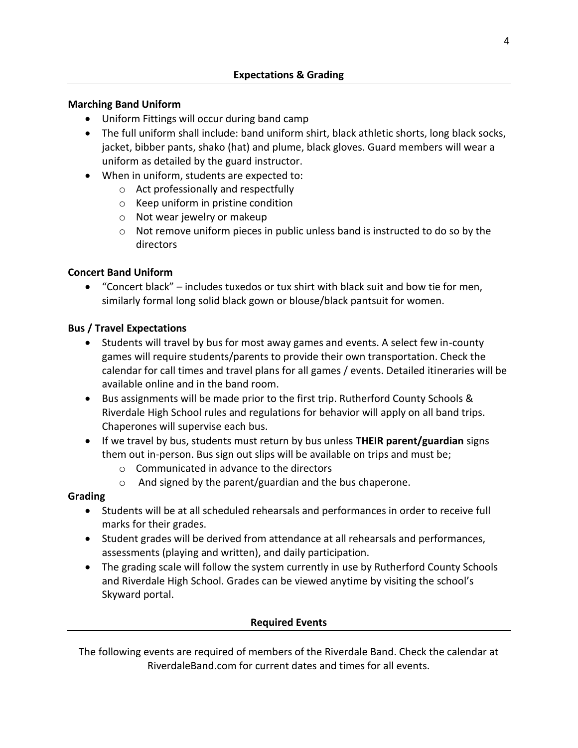## **Marching Band Uniform**

- Uniform Fittings will occur during band camp
- The full uniform shall include: band uniform shirt, black athletic shorts, long black socks, jacket, bibber pants, shako (hat) and plume, black gloves. Guard members will wear a uniform as detailed by the guard instructor.
- When in uniform, students are expected to:
	- o Act professionally and respectfully
	- o Keep uniform in pristine condition
	- o Not wear jewelry or makeup
	- $\circ$  Not remove uniform pieces in public unless band is instructed to do so by the directors

## **Concert Band Uniform**

• "Concert black" – includes tuxedos or tux shirt with black suit and bow tie for men, similarly formal long solid black gown or blouse/black pantsuit for women.

## **Bus / Travel Expectations**

- Students will travel by bus for most away games and events. A select few in-county games will require students/parents to provide their own transportation. Check the calendar for call times and travel plans for all games / events. Detailed itineraries will be available online and in the band room.
- Bus assignments will be made prior to the first trip. Rutherford County Schools & Riverdale High School rules and regulations for behavior will apply on all band trips. Chaperones will supervise each bus.
- If we travel by bus, students must return by bus unless **THEIR parent/guardian** signs them out in-person. Bus sign out slips will be available on trips and must be;
	- o Communicated in advance to the directors
	- o And signed by the parent/guardian and the bus chaperone.

## **Grading**

- Students will be at all scheduled rehearsals and performances in order to receive full marks for their grades.
- Student grades will be derived from attendance at all rehearsals and performances, assessments (playing and written), and daily participation.
- The grading scale will follow the system currently in use by Rutherford County Schools and Riverdale High School. Grades can be viewed anytime by visiting the school's Skyward portal.

## **Required Events**

The following events are required of members of the Riverdale Band. Check the calendar at RiverdaleBand.com for current dates and times for all events.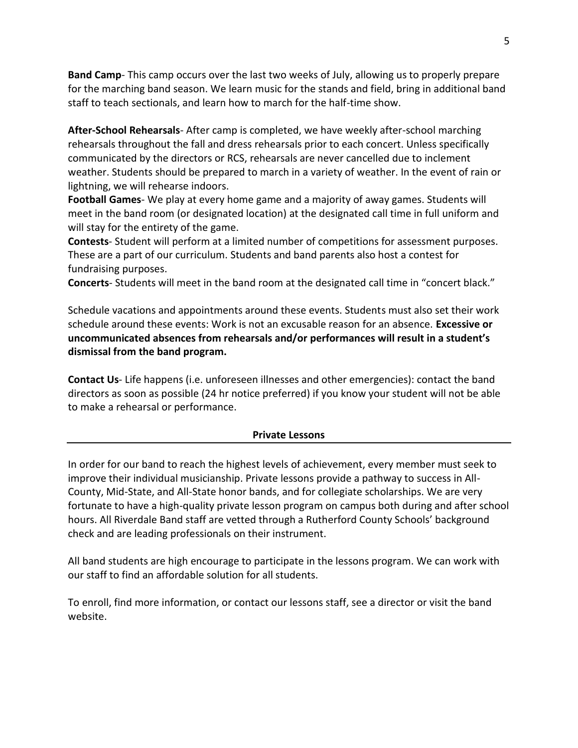**Band Camp**- This camp occurs over the last two weeks of July, allowing us to properly prepare for the marching band season. We learn music for the stands and field, bring in additional band staff to teach sectionals, and learn how to march for the half-time show.

**After-School Rehearsals**- After camp is completed, we have weekly after-school marching rehearsals throughout the fall and dress rehearsals prior to each concert. Unless specifically communicated by the directors or RCS, rehearsals are never cancelled due to inclement weather. Students should be prepared to march in a variety of weather. In the event of rain or lightning, we will rehearse indoors.

**Football Games**- We play at every home game and a majority of away games. Students will meet in the band room (or designated location) at the designated call time in full uniform and will stay for the entirety of the game.

**Contests**- Student will perform at a limited number of competitions for assessment purposes. These are a part of our curriculum. Students and band parents also host a contest for fundraising purposes.

**Concerts**- Students will meet in the band room at the designated call time in "concert black."

Schedule vacations and appointments around these events. Students must also set their work schedule around these events: Work is not an excusable reason for an absence. **Excessive or uncommunicated absences from rehearsals and/or performances will result in a student's dismissal from the band program.**

**Contact Us**- Life happens (i.e. unforeseen illnesses and other emergencies): contact the band directors as soon as possible (24 hr notice preferred) if you know your student will not be able to make a rehearsal or performance.

#### **Private Lessons**

In order for our band to reach the highest levels of achievement, every member must seek to improve their individual musicianship. Private lessons provide a pathway to success in All-County, Mid-State, and All-State honor bands, and for collegiate scholarships. We are very fortunate to have a high-quality private lesson program on campus both during and after school hours. All Riverdale Band staff are vetted through a Rutherford County Schools' background check and are leading professionals on their instrument.

All band students are high encourage to participate in the lessons program. We can work with our staff to find an affordable solution for all students.

To enroll, find more information, or contact our lessons staff, see a director or visit the band website.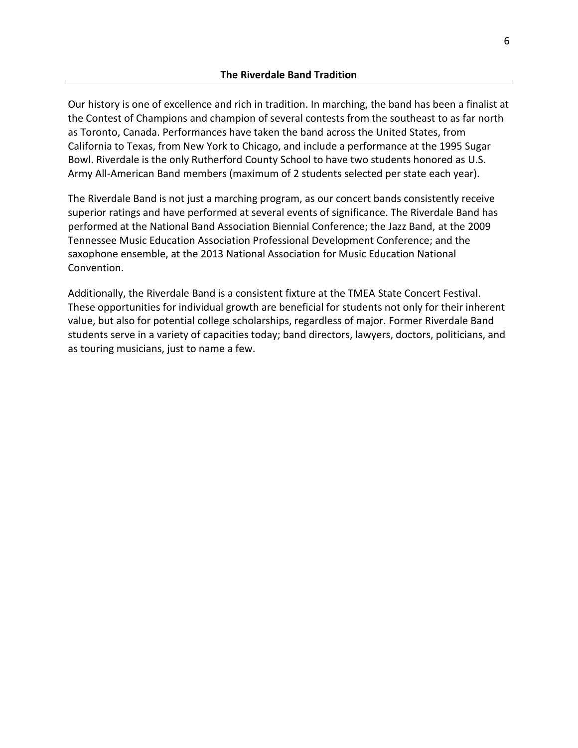Our history is one of excellence and rich in tradition. In marching, the band has been a finalist at the Contest of Champions and champion of several contests from the southeast to as far north as Toronto, Canada. Performances have taken the band across the United States, from California to Texas, from New York to Chicago, and include a performance at the 1995 Sugar Bowl. Riverdale is the only Rutherford County School to have two students honored as U.S. Army All-American Band members (maximum of 2 students selected per state each year).

The Riverdale Band is not just a marching program, as our concert bands consistently receive superior ratings and have performed at several events of significance. The Riverdale Band has performed at the National Band Association Biennial Conference; the Jazz Band, at the 2009 Tennessee Music Education Association Professional Development Conference; and the saxophone ensemble, at the 2013 National Association for Music Education National Convention.

Additionally, the Riverdale Band is a consistent fixture at the TMEA State Concert Festival. These opportunities for individual growth are beneficial for students not only for their inherent value, but also for potential college scholarships, regardless of major. Former Riverdale Band students serve in a variety of capacities today; band directors, lawyers, doctors, politicians, and as touring musicians, just to name a few.